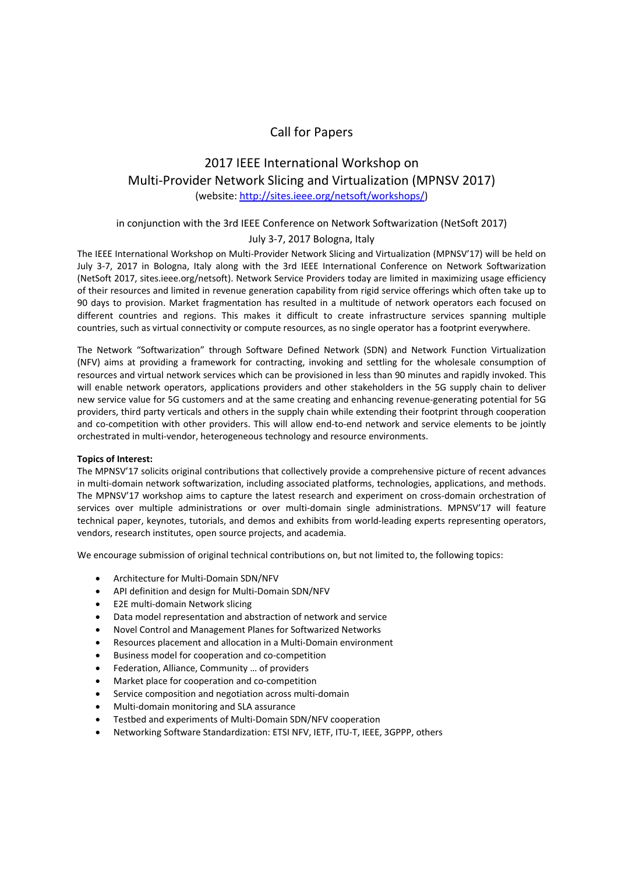# Call for Papers

# 2017 IEEE International Workshop on Multi‐Provider Network Slicing and Virtualization (MPNSV 2017) (website: http://sites.ieee.org/netsoft/workshops/)

# in conjunction with the 3rd IEEE Conference on Network Softwarization (NetSoft 2017)

# July 3‐7, 2017 Bologna, Italy

The IEEE International Workshop on Multi‐Provider Network Slicing and Virtualization (MPNSV'17) will be held on July 3‐7, 2017 in Bologna, Italy along with the 3rd IEEE International Conference on Network Softwarization (NetSoft 2017, sites.ieee.org/netsoft). Network Service Providers today are limited in maximizing usage efficiency of their resources and limited in revenue generation capability from rigid service offerings which often take up to 90 days to provision. Market fragmentation has resulted in a multitude of network operators each focused on different countries and regions. This makes it difficult to create infrastructure services spanning multiple countries, such as virtual connectivity or compute resources, as no single operator has a footprint everywhere.

The Network "Softwarization" through Software Defined Network (SDN) and Network Function Virtualization (NFV) aims at providing a framework for contracting, invoking and settling for the wholesale consumption of resources and virtual network services which can be provisioned in less than 90 minutes and rapidly invoked. This will enable network operators, applications providers and other stakeholders in the 5G supply chain to deliver new service value for 5G customers and at the same creating and enhancing revenue‐generating potential for 5G providers, third party verticals and others in the supply chain while extending their footprint through cooperation and co-competition with other providers. This will allow end-to-end network and service elements to be jointly orchestrated in multi‐vendor, heterogeneous technology and resource environments.

## **Topics of Interest:**

The MPNSV'17 solicits original contributions that collectively provide a comprehensive picture of recent advances in multi-domain network softwarization, including associated platforms, technologies, applications, and methods. The MPNSV'17 workshop aims to capture the latest research and experiment on cross-domain orchestration of services over multiple administrations or over multi-domain single administrations. MPNSV'17 will feature technical paper, keynotes, tutorials, and demos and exhibits from world‐leading experts representing operators, vendors, research institutes, open source projects, and academia.

We encourage submission of original technical contributions on, but not limited to, the following topics:

- Architecture for Multi‐Domain SDN/NFV
- API definition and design for Multi‐Domain SDN/NFV
- E2E multi‐domain Network slicing
- Data model representation and abstraction of network and service
- Novel Control and Management Planes for Softwarized Networks
- Resources placement and allocation in a Multi‐Domain environment
- Business model for cooperation and co‐competition
- Federation, Alliance, Community … of providers
- Market place for cooperation and co‐competition
- Service composition and negotiation across multi‐domain
- Multi‐domain monitoring and SLA assurance
- Testbed and experiments of Multi‐Domain SDN/NFV cooperation
- Networking Software Standardization: ETSI NFV, IETF, ITU‐T, IEEE, 3GPPP, others